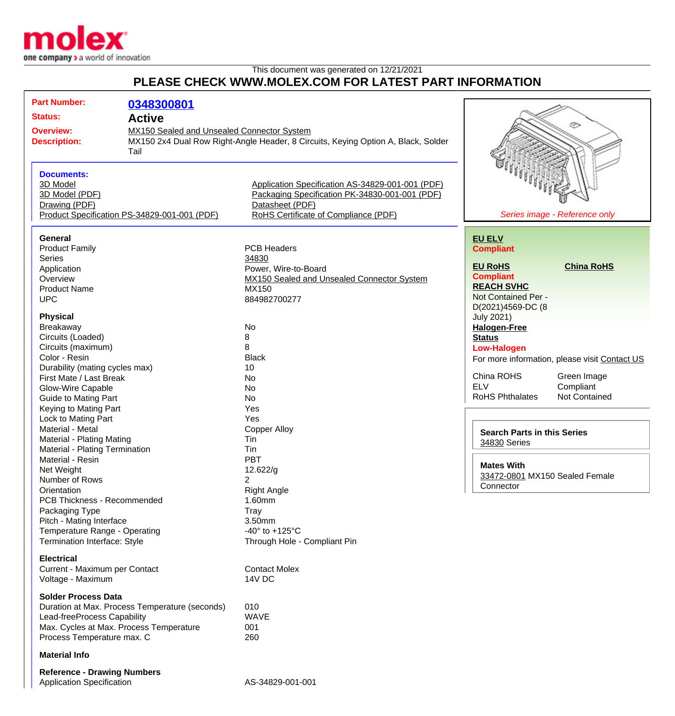

## This document was generated on 12/21/2021 **PLEASE CHECK WWW.MOLEX.COM FOR LATEST PART INFORMATION**

| <b>Part Number:</b>                                            | 0348300801    |                                                                                   |                                    |                                               |
|----------------------------------------------------------------|---------------|-----------------------------------------------------------------------------------|------------------------------------|-----------------------------------------------|
| <b>Status:</b>                                                 | <b>Active</b> |                                                                                   |                                    |                                               |
|                                                                |               |                                                                                   |                                    | ♋                                             |
| MX150 Sealed and Unsealed Connector System<br><b>Overview:</b> |               |                                                                                   |                                    |                                               |
| <b>Description:</b>                                            |               | MX150 2x4 Dual Row Right-Angle Header, 8 Circuits, Keying Option A, Black, Solder |                                    |                                               |
|                                                                | Tail          |                                                                                   |                                    |                                               |
|                                                                |               |                                                                                   |                                    |                                               |
| <b>Documents:</b>                                              |               |                                                                                   |                                    |                                               |
| 3D Model                                                       |               | Application Specification AS-34829-001-001 (PDF)                                  |                                    |                                               |
| 3D Model (PDF)                                                 |               | Packaging Specification PK-34830-001-001 (PDF)                                    |                                    |                                               |
| Drawing (PDF)                                                  |               | Datasheet (PDF)                                                                   |                                    |                                               |
| Product Specification PS-34829-001-001 (PDF)                   |               | RoHS Certificate of Compliance (PDF)                                              |                                    | Series image - Reference only                 |
|                                                                |               |                                                                                   |                                    |                                               |
| General                                                        |               |                                                                                   | <b>EU ELV</b>                      |                                               |
| <b>Product Family</b>                                          |               | <b>PCB Headers</b>                                                                | <b>Compliant</b>                   |                                               |
| <b>Series</b>                                                  |               | 34830                                                                             |                                    |                                               |
| Application                                                    |               | Power, Wire-to-Board                                                              | <b>EU RoHS</b>                     | <b>China RoHS</b>                             |
| Overview                                                       |               | MX150 Sealed and Unsealed Connector System                                        | <b>Compliant</b>                   |                                               |
| <b>Product Name</b>                                            |               | MX150                                                                             | <b>REACH SVHC</b>                  |                                               |
| <b>UPC</b>                                                     |               | 884982700277                                                                      | Not Contained Per -                |                                               |
|                                                                |               |                                                                                   | D(2021)4569-DC (8                  |                                               |
| <b>Physical</b>                                                |               |                                                                                   | <b>July 2021)</b>                  |                                               |
| Breakaway                                                      |               | <b>No</b>                                                                         | <b>Halogen-Free</b>                |                                               |
| Circuits (Loaded)                                              |               | 8                                                                                 | <b>Status</b>                      |                                               |
| Circuits (maximum)                                             |               | 8                                                                                 | <b>Low-Halogen</b>                 |                                               |
| Color - Resin                                                  |               | <b>Black</b>                                                                      |                                    | For more information, please visit Contact US |
| Durability (mating cycles max)                                 |               | 10                                                                                |                                    |                                               |
| First Mate / Last Break                                        |               | No                                                                                | China ROHS                         | Green Image                                   |
| Glow-Wire Capable                                              |               | <b>No</b>                                                                         | <b>ELV</b>                         | Compliant                                     |
| <b>Guide to Mating Part</b>                                    |               | <b>No</b>                                                                         | <b>RoHS Phthalates</b>             | Not Contained                                 |
| Keying to Mating Part                                          |               | Yes                                                                               |                                    |                                               |
| Lock to Mating Part                                            |               | Yes                                                                               |                                    |                                               |
| Material - Metal                                               |               | <b>Copper Alloy</b>                                                               |                                    |                                               |
| <b>Material - Plating Mating</b>                               |               | Tin                                                                               | <b>Search Parts in this Series</b> |                                               |
| Material - Plating Termination                                 |               | Tin                                                                               | 34830 Series                       |                                               |
| Material - Resin                                               |               | <b>PBT</b>                                                                        |                                    |                                               |
| Net Weight                                                     |               | 12.622/g                                                                          | <b>Mates With</b>                  |                                               |
| Number of Rows                                                 |               | 2                                                                                 | 33472-0801 MX150 Sealed Female     |                                               |
| Orientation                                                    |               | <b>Right Angle</b>                                                                | Connector                          |                                               |
| PCB Thickness - Recommended                                    |               | 1.60mm                                                                            |                                    |                                               |
| Packaging Type                                                 |               | <b>Tray</b>                                                                       |                                    |                                               |
| Pitch - Mating Interface                                       |               | 3.50mm                                                                            |                                    |                                               |
| Temperature Range - Operating                                  |               | -40 $\degree$ to +125 $\degree$ C                                                 |                                    |                                               |
| Termination Interface: Style                                   |               | Through Hole - Compliant Pin                                                      |                                    |                                               |
|                                                                |               |                                                                                   |                                    |                                               |
| <b>Electrical</b>                                              |               |                                                                                   |                                    |                                               |
| Current - Maximum per Contact                                  |               | <b>Contact Molex</b>                                                              |                                    |                                               |
| Voltage - Maximum                                              |               | 14V DC                                                                            |                                    |                                               |
|                                                                |               |                                                                                   |                                    |                                               |
| <b>Solder Process Data</b>                                     |               |                                                                                   |                                    |                                               |
| Duration at Max. Process Temperature (seconds)                 |               | 010                                                                               |                                    |                                               |
| Lead-freeProcess Capability                                    |               | <b>WAVE</b>                                                                       |                                    |                                               |
| Max. Cycles at Max. Process Temperature                        |               | 001                                                                               |                                    |                                               |
| Process Temperature max. C                                     |               | 260                                                                               |                                    |                                               |
| <b>Material Info</b>                                           |               |                                                                                   |                                    |                                               |
| <b>Reference - Drawing Numbers</b>                             |               |                                                                                   |                                    |                                               |
| <b>Application Specification</b>                               |               | AS-34829-001-001                                                                  |                                    |                                               |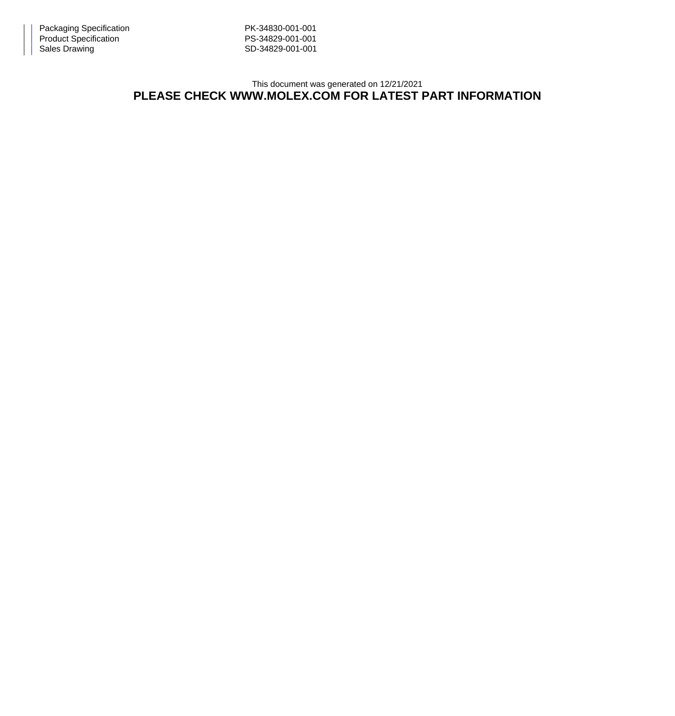This document was generated on 12/21/2021 **PLEASE CHECK WWW.MOLEX.COM FOR LATEST PART INFORMATION**